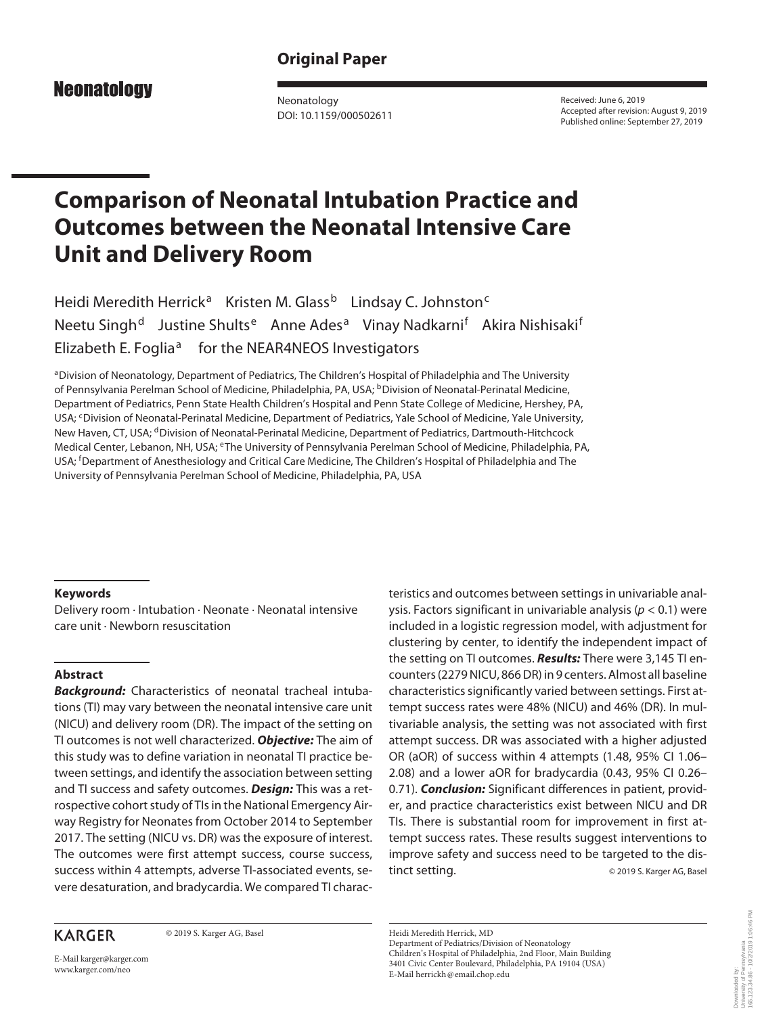# **Original Paper**

# **Neonatology**

Neonatology DOI: 10.1159/000502611

Received: June 6, 2019 Accepted after revision: August 9, 2019 Published online: September 27, 2019

# **Comparison of Neonatal Intubation Practice and Outcomes between the Neonatal Intensive Care Unit and Delivery Room**

Heidi Meredith Herrick<sup>a</sup> Kristen M. Glass<sup>b</sup> Lindsay C. Johnston<sup>c</sup> Neetu Singh<sup>d</sup> Justine Shults<sup>e</sup> Anne Ades<sup>a</sup> Vinay Nadkarni<sup>f</sup> Akira Nishisaki<sup>f</sup> Elizabeth E. Foglia<sup>a</sup> for the NEAR4NEOS Investigators

aDivision of Neonatology, Department of Pediatrics, The Children's Hospital of Philadelphia and The University of Pennsylvania Perelman School of Medicine, Philadelphia, PA, USA; <sup>b</sup>Division of Neonatal-Perinatal Medicine, Department of Pediatrics, Penn State Health Children's Hospital and Penn State College of Medicine, Hershey, PA, USA; CDivision of Neonatal-Perinatal Medicine, Department of Pediatrics, Yale School of Medicine, Yale University, New Haven, CT, USA; <sup>d</sup>Division of Neonatal-Perinatal Medicine, Department of Pediatrics, Dartmouth-Hitchcock Medical Center, Lebanon, NH, USA; eThe University of Pennsylvania Perelman School of Medicine, Philadelphia, PA, USA; <sup>f</sup> Department of Anesthesiology and Critical Care Medicine, The Children's Hospital of Philadelphia and The University of Pennsylvania Perelman School of Medicine, Philadelphia, PA, USA

#### **Keywords**

Delivery room · Intubation · Neonate · Neonatal intensive care unit · Newborn resuscitation

### **Abstract**

*Background:* Characteristics of neonatal tracheal intubations (TI) may vary between the neonatal intensive care unit (NICU) and delivery room (DR). The impact of the setting on TI outcomes is not well characterized. *Objective:* The aim of this study was to define variation in neonatal TI practice between settings, and identify the association between setting and TI success and safety outcomes. *Design:* This was a retrospective cohort study of TIs in the National Emergency Airway Registry for Neonates from October 2014 to September 2017. The setting (NICU vs. DR) was the exposure of interest. The outcomes were first attempt success, course success, success within 4 attempts, adverse TI-associated events, severe desaturation, and bradycardia. We compared TI charac-

# **KARGER**

© 2019 S. Karger AG, Basel

teristics and outcomes between settings in univariable analysis. Factors significant in univariable analysis (*p* < 0.1) were included in a logistic regression model, with adjustment for clustering by center, to identify the independent impact of the setting on TI outcomes. *Results:* There were 3,145 TI encounters (2279 NICU, 866 DR) in 9 centers. Almost all baseline characteristics significantly varied between settings. First attempt success rates were 48% (NICU) and 46% (DR). In multivariable analysis, the setting was not associated with first attempt success. DR was associated with a higher adjusted OR (aOR) of success within 4 attempts (1.48, 95% CI 1.06– 2.08) and a lower aOR for bradycardia (0.43, 95% CI 0.26– 0.71). *Conclusion:* Significant differences in patient, provider, and practice characteristics exist between NICU and DR TIs. There is substantial room for improvement in first attempt success rates. These results suggest interventions to improve safety and success need to be targeted to the distinct setting. © 2019 S. Karger AG, Basel

E-Mail karger@karger.com www.karger.com/neo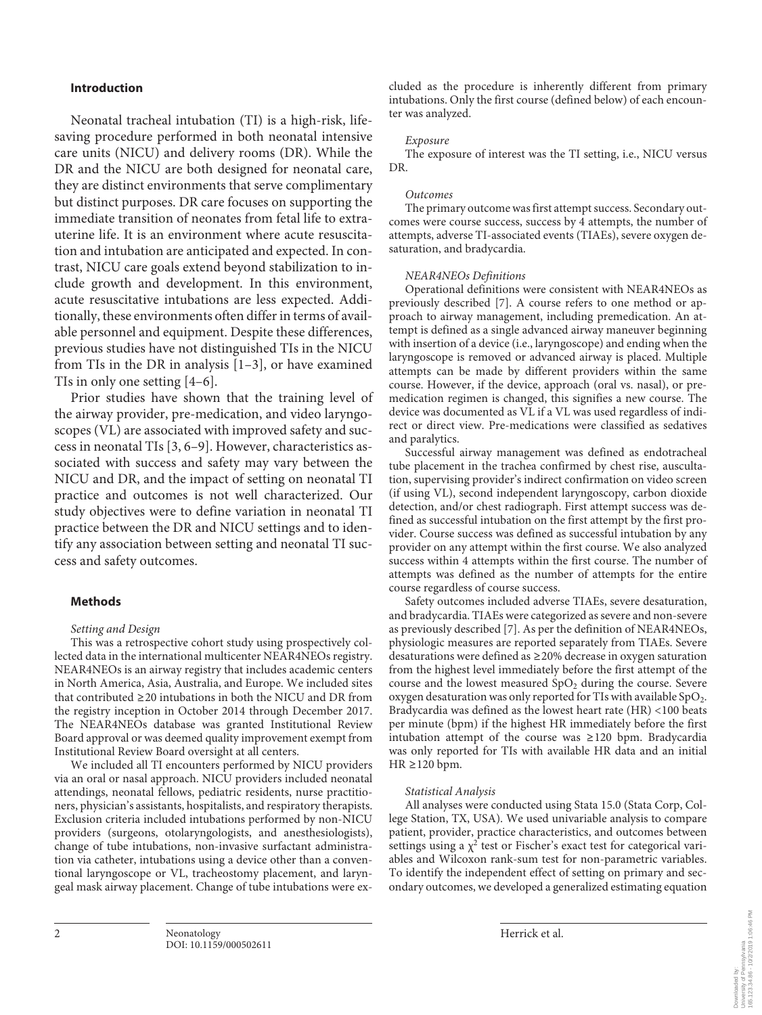#### **Introduction**

Neonatal tracheal intubation (TI) is a high-risk, lifesaving procedure performed in both neonatal intensive care units (NICU) and delivery rooms (DR). While the DR and the NICU are both designed for neonatal care, they are distinct environments that serve complimentary but distinct purposes. DR care focuses on supporting the immediate transition of neonates from fetal life to extrauterine life. It is an environment where acute resuscitation and intubation are anticipated and expected. In contrast, NICU care goals extend beyond stabilization to include growth and development. In this environment, acute resuscitative intubations are less expected. Additionally, these environments often differ in terms of available personnel and equipment. Despite these differences, previous studies have not distinguished TIs in the NICU from TIs in the DR in analysis [1–3], or have examined TIs in only one setting [4–6].

Prior studies have shown that the training level of the airway provider, pre-medication, and video laryngoscopes (VL) are associated with improved safety and success in neonatal TIs [3, 6–9]. However, characteristics associated with success and safety may vary between the NICU and DR, and the impact of setting on neonatal TI practice and outcomes is not well characterized. Our study objectives were to define variation in neonatal TI practice between the DR and NICU settings and to identify any association between setting and neonatal TI success and safety outcomes.

#### **Methods**

#### *Setting and Design*

This was a retrospective cohort study using prospectively collected data in the international multicenter NEAR4NEOs registry. NEAR4NEOs is an airway registry that includes academic centers in North America, Asia, Australia, and Europe. We included sites that contributed ≥20 intubations in both the NICU and DR from the registry inception in October 2014 through December 2017. The NEAR4NEOs database was granted Institutional Review Board approval or was deemed quality improvement exempt from Institutional Review Board oversight at all centers.

We included all TI encounters performed by NICU providers via an oral or nasal approach. NICU providers included neonatal attendings, neonatal fellows, pediatric residents, nurse practitioners, physician's assistants, hospitalists, and respiratory therapists. Exclusion criteria included intubations performed by non-NICU providers (surgeons, otolaryngologists, and anesthesiologists), change of tube intubations, non-invasive surfactant administration via catheter, intubations using a device other than a conventional laryngoscope or VL, tracheostomy placement, and laryngeal mask airway placement. Change of tube intubations were excluded as the procedure is inherently different from primary intubations. Only the first course (defined below) of each encounter was analyzed.

#### *Exposure*

The exposure of interest was the TI setting, i.e., NICU versus DR.

#### *Outcomes*

The primary outcome was first attempt success. Secondary outcomes were course success, success by 4 attempts, the number of attempts, adverse TI-associated events (TIAEs), severe oxygen desaturation, and bradycardia.

#### *NEAR4NEOs Definitions*

Operational definitions were consistent with NEAR4NEOs as previously described [7]. A course refers to one method or approach to airway management, including premedication. An attempt is defined as a single advanced airway maneuver beginning with insertion of a device (i.e., laryngoscope) and ending when the laryngoscope is removed or advanced airway is placed. Multiple attempts can be made by different providers within the same course. However, if the device, approach (oral vs. nasal), or premedication regimen is changed, this signifies a new course. The device was documented as VL if a VL was used regardless of indirect or direct view. Pre-medications were classified as sedatives and paralytics.

Successful airway management was defined as endotracheal tube placement in the trachea confirmed by chest rise, auscultation, supervising provider's indirect confirmation on video screen (if using VL), second independent laryngoscopy, carbon dioxide detection, and/or chest radiograph. First attempt success was defined as successful intubation on the first attempt by the first provider. Course success was defined as successful intubation by any provider on any attempt within the first course. We also analyzed success within 4 attempts within the first course. The number of attempts was defined as the number of attempts for the entire course regardless of course success.

Safety outcomes included adverse TIAEs, severe desaturation, and bradycardia. TIAEs were categorized as severe and non-severe as previously described [7]. As per the definition of NEAR4NEOs, physiologic measures are reported separately from TIAEs. Severe desaturations were defined as ≥20% decrease in oxygen saturation from the highest level immediately before the first attempt of the course and the lowest measured  $SpO<sub>2</sub>$  during the course. Severe oxygen desaturation was only reported for TIs with available  $SpO<sub>2</sub>$ . Bradycardia was defined as the lowest heart rate (HR) <100 beats per minute (bpm) if the highest HR immediately before the first intubation attempt of the course was ≥120 bpm. Bradycardia was only reported for TIs with available HR data and an initial HR ≥120 bpm.

#### *Statistical Analysis*

All analyses were conducted using Stata 15.0 (Stata Corp, College Station, TX, USA). We used univariable analysis to compare patient, provider, practice characteristics, and outcomes between settings using a  $\chi^2$  test or Fischer's exact test for categorical variables and Wilcoxon rank-sum test for non-parametric variables. To identify the independent effect of setting on primary and secondary outcomes, we developed a generalized estimating equation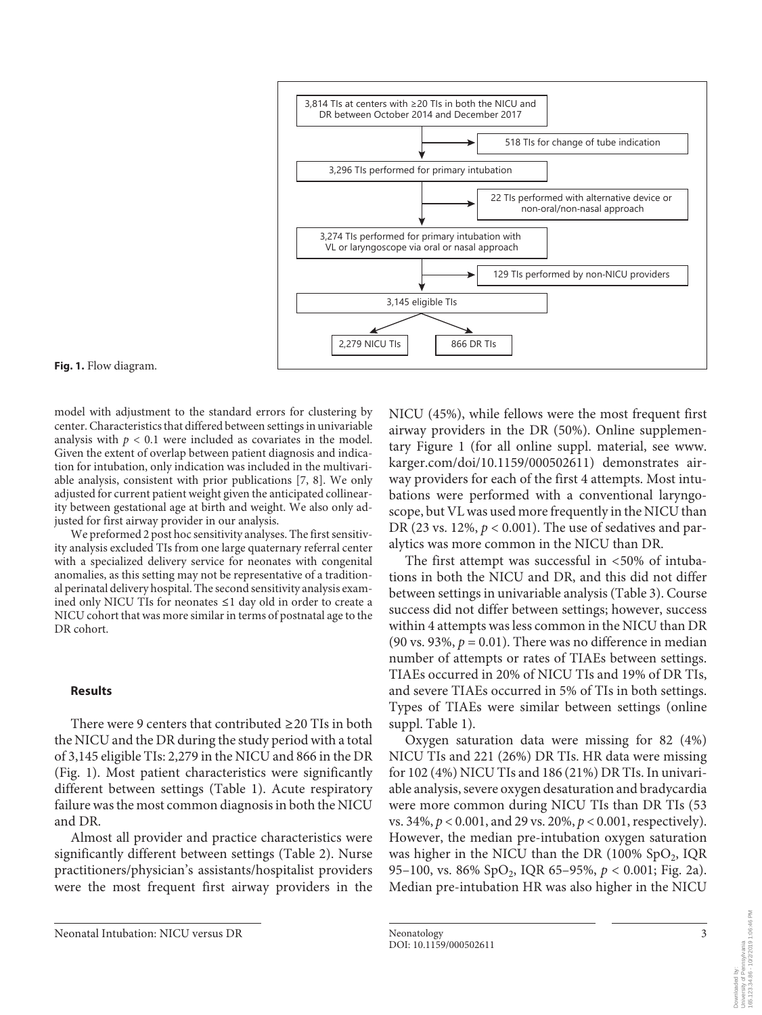

**Fig. 1.** Flow diagram.

model with adjustment to the standard errors for clustering by center. Characteristics that differed between settings in univariable analysis with  $p < 0.1$  were included as covariates in the model. Given the extent of overlap between patient diagnosis and indication for intubation, only indication was included in the multivariable analysis, consistent with prior publications [7, 8]. We only adjusted for current patient weight given the anticipated collinearity between gestational age at birth and weight. We also only adjusted for first airway provider in our analysis.

We preformed 2 post hoc sensitivity analyses. The first sensitivity analysis excluded TIs from one large quaternary referral center with a specialized delivery service for neonates with congenital anomalies, as this setting may not be representative of a traditional perinatal delivery hospital. The second sensitivity analysis examined only NICU TIs for neonates ≤1 day old in order to create a NICU cohort that was more similar in terms of postnatal age to the DR cohort.

#### **Results**

There were 9 centers that contributed  $\geq 20$  TIs in both the NICU and the DR during the study period with a total of 3,145 eligible TIs: 2,279 in the NICU and 866 in the DR (Fig. 1). Most patient characteristics were significantly different between settings (Table 1). Acute respiratory failure was the most common diagnosis in both the NICU and DR.

Almost all provider and practice characteristics were significantly different between settings (Table 2). Nurse practitioners/physician's assistants/hospitalist providers were the most frequent first airway providers in the NICU (45%), while fellows were the most frequent first airway providers in the DR (50%). Online supplementary Figure 1 (for all online suppl. material, see www. karger.com/doi/10.1159/000502611) demonstrates airway providers for each of the first 4 attempts. Most intubations were performed with a conventional laryngoscope, but VL was used more frequently in the NICU than DR (23 vs. 12%, *p* < 0.001). The use of sedatives and paralytics was more common in the NICU than DR.

The first attempt was successful in <50% of intubations in both the NICU and DR, and this did not differ between settings in univariable analysis (Table 3). Course success did not differ between settings; however, success within 4 attempts was less common in the NICU than DR (90 vs. 93%,  $p = 0.01$ ). There was no difference in median number of attempts or rates of TIAEs between settings. TIAEs occurred in 20% of NICU TIs and 19% of DR TIs, and severe TIAEs occurred in 5% of TIs in both settings. Types of TIAEs were similar between settings (online suppl. Table 1).

Oxygen saturation data were missing for 82 (4%) NICU TIs and 221 (26%) DR TIs. HR data were missing for 102 (4%) NICU TIs and 186 (21%) DR TIs. In univariable analysis, severe oxygen desaturation and bradycardia were more common during NICU TIs than DR TIs (53 vs. 34%, *p* < 0.001, and 29 vs. 20%, *p* < 0.001, respectively). However, the median pre-intubation oxygen saturation was higher in the NICU than the DR  $(100\%$  SpO<sub>2</sub>, IQR 95–100, vs. 86% SpO2, IQR 65–95%, *p* < 0.001; Fig. 2a). Median pre-intubation HR was also higher in the NICU

Downloaded by:<br>University of Pennsylvania<br>165.123.34.86 - 10/2/2019 1:06:46 PM 165.123.34.86 - 10/2/2019 1:06:46 PMUniversity of Pennsylvania Downloaded by:

Neonatal Intubation: NICU versus DR Neonatology Neonatology 3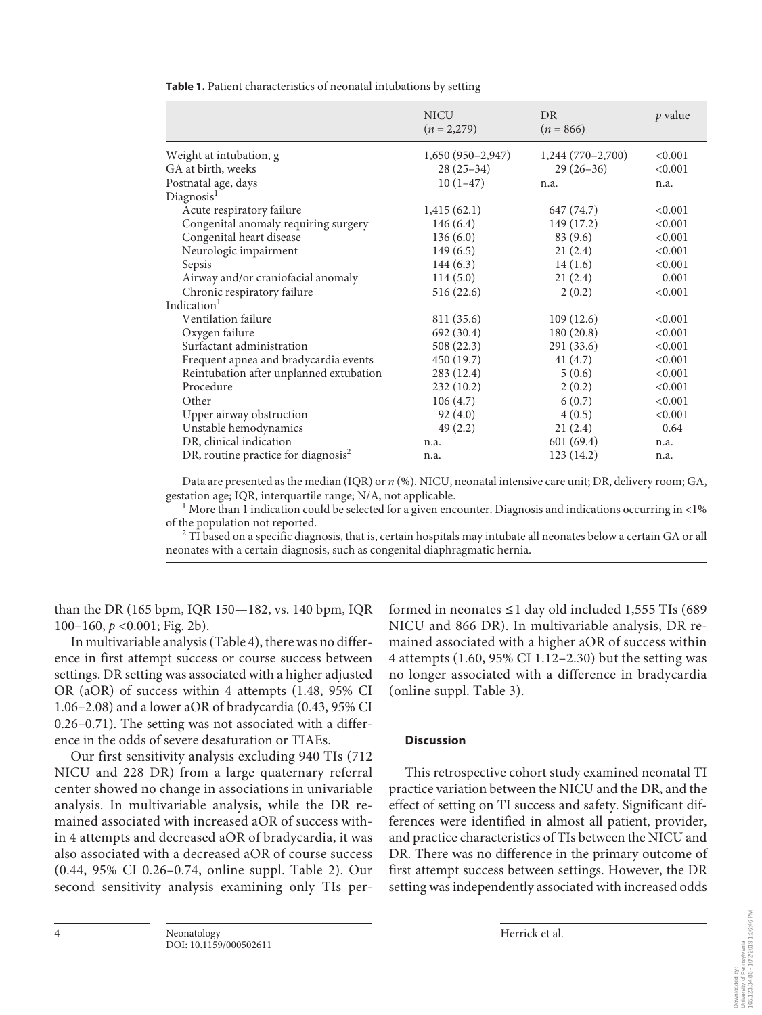|                                         | <b>NICU</b><br>$(n=2,279)$ | DR<br>$(n = 866)$  | p value |
|-----------------------------------------|----------------------------|--------------------|---------|
| Weight at intubation, g                 | $1,650(950-2,947)$         | $1,244(770-2,700)$ | < 0.001 |
| GA at birth, weeks                      | $28(25-34)$                | $29(26-36)$        | < 0.001 |
| Postnatal age, days                     | $10(1-47)$                 | n.a.               | n.a.    |
| Diagnosis <sup>1</sup>                  |                            |                    |         |
| Acute respiratory failure               | 1,415(62.1)                | 647 (74.7)         | < 0.001 |
| Congenital anomaly requiring surgery    | 146(6.4)                   | 149 (17.2)         | < 0.001 |
| Congenital heart disease                | 136(6.0)                   | 83 (9.6)           | < 0.001 |
| Neurologic impairment                   | 149(6.5)                   | 21(2.4)            | < 0.001 |
| Sepsis                                  | 144(6.3)                   | 14(1.6)            | < 0.001 |
| Airway and/or craniofacial anomaly      | 114(5.0)                   | 21(2.4)            | 0.001   |
| Chronic respiratory failure             | 516 (22.6)                 | 2(0.2)             | < 0.001 |
| Indication <sup>1</sup>                 |                            |                    |         |
| Ventilation failure                     | 811 (35.6)                 | 109(12.6)          | < 0.001 |
| Oxygen failure                          | 692 (30.4)                 | 180(20.8)          | < 0.001 |
| Surfactant administration               | 508 (22.3)                 | 291(33.6)          | < 0.001 |
| Frequent apnea and bradycardia events   | 450 (19.7)                 | 41(4.7)            | < 0.001 |
| Reintubation after unplanned extubation | 283 (12.4)                 | 5(0.6)             | < 0.001 |
| Procedure                               | 232 (10.2)                 | 2(0.2)             | < 0.001 |
| Other                                   | 106(4.7)                   | 6(0.7)             | < 0.001 |
| Upper airway obstruction                | 92(4.0)                    | 4(0.5)             | < 0.001 |
| Unstable hemodynamics                   | 49(2.2)                    | 21(2.4)            | 0.64    |
| DR, clinical indication                 | n.a.                       | 601(69.4)          | n.a.    |
| DR, routine practice for diagnosis $2$  | n.a.                       | 123 (14.2)         | n.a.    |

**Table 1.** Patient characteristics of neonatal intubations by setting

Data are presented as the median (IQR) or *n* (%). NICU, neonatal intensive care unit; DR, delivery room; GA, gestation age; IQR, interquartile range; N/A, not applicable. <sup>1</sup>

<sup>1</sup> More than 1 indication could be selected for a given encounter. Diagnosis and indications occurring in <1% of the population not reported. 2

 $2$  TI based on a specific diagnosis, that is, certain hospitals may intubate all neonates below a certain GA or all neonates with a certain diagnosis, such as congenital diaphragmatic hernia.

than the DR (165 bpm, IQR 150—182, vs. 140 bpm, IQR 100–160, *p* <0.001; Fig. 2b).

In multivariable analysis (Table 4), there was no difference in first attempt success or course success between settings. DR setting was associated with a higher adjusted OR (aOR) of success within 4 attempts (1.48, 95% CI 1.06–2.08) and a lower aOR of bradycardia (0.43, 95% CI 0.26–0.71). The setting was not associated with a difference in the odds of severe desaturation or TIAEs.

Our first sensitivity analysis excluding 940 TIs (712 NICU and 228 DR) from a large quaternary referral center showed no change in associations in univariable analysis. In multivariable analysis, while the DR remained associated with increased aOR of success within 4 attempts and decreased aOR of bradycardia, it was also associated with a decreased aOR of course success (0.44, 95% CI 0.26–0.74, online suppl. Table 2). Our second sensitivity analysis examining only TIs performed in neonates ≤1 day old included 1,555 TIs (689 NICU and 866 DR). In multivariable analysis, DR remained associated with a higher aOR of success within 4 attempts (1.60, 95% CI 1.12–2.30) but the setting was no longer associated with a difference in bradycardia (online suppl. Table 3).

#### **Discussion**

This retrospective cohort study examined neonatal TI practice variation between the NICU and the DR, and the effect of setting on TI success and safety. Significant differences were identified in almost all patient, provider, and practice characteristics of TIs between the NICU and DR. There was no difference in the primary outcome of first attempt success between settings. However, the DR setting was independently associated with increased odds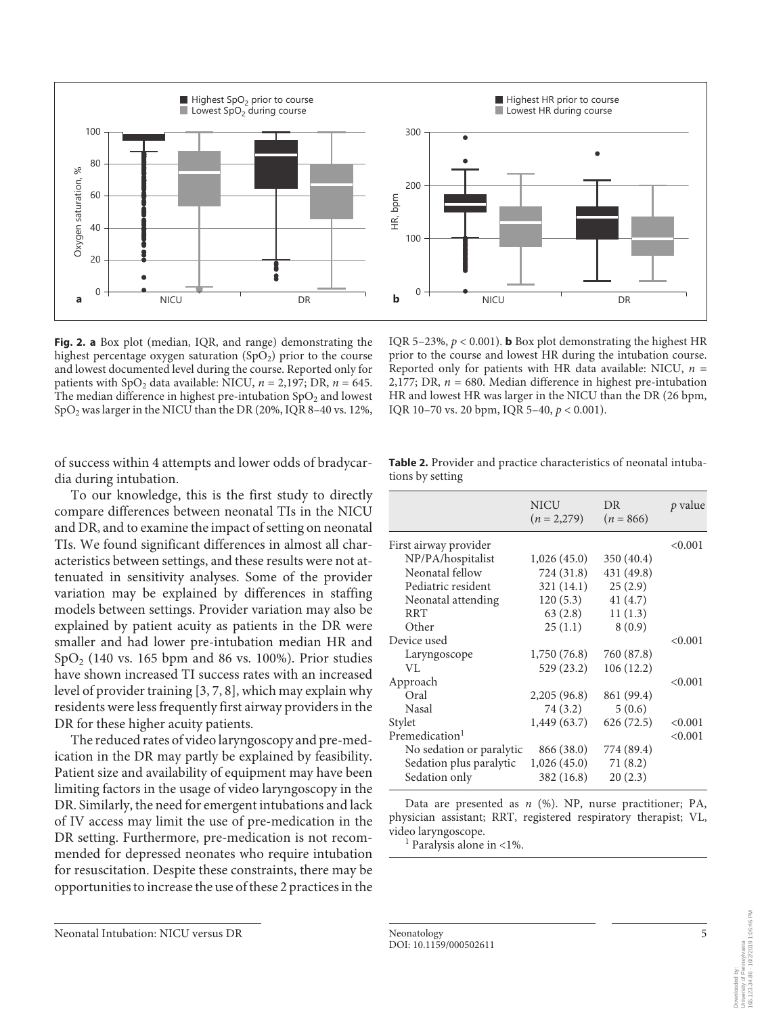

**Fig. 2. a** Box plot (median, IQR, and range) demonstrating the highest percentage oxygen saturation  $(SpO<sub>2</sub>)$  prior to the course and lowest documented level during the course. Reported only for patients with  $SpO<sub>2</sub>$  data available: NICU,  $n = 2,197$ ; DR,  $n = 645$ . The median difference in highest pre-intubation  $SpO<sub>2</sub>$  and lowest SpO2 was larger in the NICU than the DR (20%, IQR 8–40 vs. 12%,

of success within 4 attempts and lower odds of bradycardia during intubation.

To our knowledge, this is the first study to directly compare differences between neonatal TIs in the NICU and DR, and to examine the impact of setting on neonatal TIs. We found significant differences in almost all characteristics between settings, and these results were not attenuated in sensitivity analyses. Some of the provider variation may be explained by differences in staffing models between settings. Provider variation may also be explained by patient acuity as patients in the DR were smaller and had lower pre-intubation median HR and  $SpO<sub>2</sub>$  (140 vs. 165 bpm and 86 vs. 100%). Prior studies have shown increased TI success rates with an increased level of provider training [3, 7, 8], which may explain why residents were less frequently first airway providers in the DR for these higher acuity patients.

The reduced rates of video laryngoscopy and pre-medication in the DR may partly be explained by feasibility. Patient size and availability of equipment may have been limiting factors in the usage of video laryngoscopy in the DR. Similarly, the need for emergent intubations and lack of IV access may limit the use of pre-medication in the DR setting. Furthermore, pre-medication is not recommended for depressed neonates who require intubation for resuscitation. Despite these constraints, there may be opportunities to increase the use of these 2 practices in the

prior to the course and lowest HR during the intubation course. Reported only for patients with HR data available: NICU,  $n =$ 2,177; DR, *n* = 680. Median difference in highest pre-intubation HR and lowest HR was larger in the NICU than the DR (26 bpm, IQR 10–70 vs. 20 bpm, IQR 5–40, *p* < 0.001).

IQR 5-23%,  $p < 0.001$ ). **b** Box plot demonstrating the highest HR

| tions by setting      |                              |                   |         |
|-----------------------|------------------------------|-------------------|---------|
|                       | <b>NICU</b><br>$(n = 2,279)$ | DR<br>$(n = 866)$ | p value |
| First airway provider |                              |                   | < 0.001 |
| NP/PA/hospitalist     | 1,026(45.0)                  | 350 (40.4)        |         |
| Neonatal fellow       | 724 (31.8)                   | 431 (49.8)        |         |
| Pediatric resident    | 321 (14.1)                   | 25(2.9)           |         |
| Neonatal attending    | 120(5.3)                     | 41(4.7)           |         |
| <b>RRT</b>            | 63(2.8)                      | 11(1.3)           |         |
| Other                 | 25(1.1)                      | 8(0.9)            |         |
| Device used           |                              |                   | < 0.001 |
| Laryngoscope          | 1,750 (76.8)                 | 760 (87.8)        |         |
| VI.                   | 529 (23.2)                   | 106(12.2)         |         |
| Approach              |                              |                   | < 0.001 |
| Oral                  | 2,205(96.8)                  | 861 (99.4)        |         |

|                  |  | <b>Table 2.</b> Provider and practice characteristics of neonatal intuba- |  |
|------------------|--|---------------------------------------------------------------------------|--|
| tions by setting |  |                                                                           |  |

| NP/PA/hospitalist          | 1,026 (45.0) | 350 (40.4) |         |
|----------------------------|--------------|------------|---------|
| Neonatal fellow            | 724 (31.8)   | 431 (49.8) |         |
| Pediatric resident         | 321 (14.1)   | 25(2.9)    |         |
| Neonatal attending         | 120(5.3)     | 41(4.7)    |         |
| <b>RRT</b>                 | 63(2.8)      | 11(1.3)    |         |
| Other                      | 25(1.1)      | 8(0.9)     |         |
| Device used                |              |            | < 0.001 |
| Laryngoscope               | 1,750 (76.8) | 760 (87.8) |         |
| VL.                        | 529 (23.2)   | 106(12.2)  |         |
| Approach                   |              |            | < 0.001 |
| Oral                       | 2,205(96.8)  | 861 (99.4) |         |
| <b>Nasal</b>               | 74 (3.2)     | 5(0.6)     |         |
| Stylet                     | 1,449 (63.7) | 626(72.5)  | < 0.001 |
| Premedication <sup>1</sup> |              |            | < 0.001 |
| No sedation or paralytic   | 866 (38.0)   | 774 (89.4) |         |
| Sedation plus paralytic    | 1,026(45.0)  | 71(8.2)    |         |
| Sedation only              | 382 (16.8)   | 20(2.3)    |         |
|                            |              |            |         |

Data are presented as *n* (%). NP, nurse practitioner; PA, physician assistant; RRT, registered respiratory therapist; VL, video laryngoscope.

 $<sup>1</sup>$  Paralysis alone in <1%.</sup>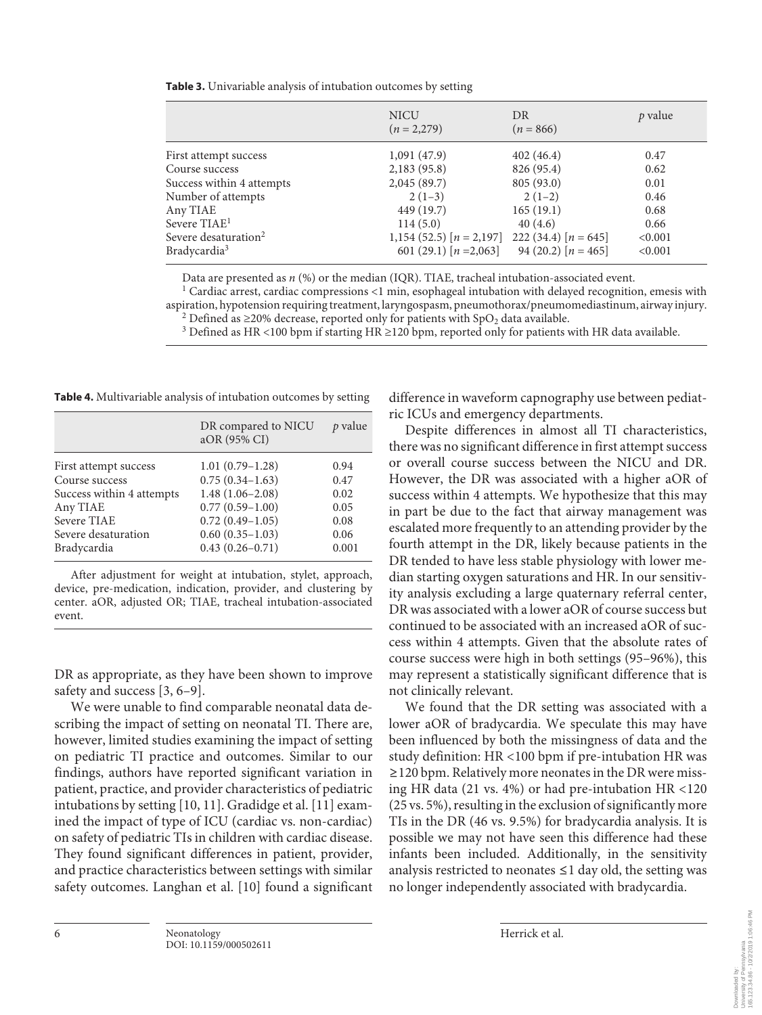| Table 3. Univariable analysis of intubation outcomes by setting |  |
|-----------------------------------------------------------------|--|
|-----------------------------------------------------------------|--|

|                                  | <b>NICU</b><br>$(n = 2,279)$ | DR<br>$(n = 866)$      | p value |
|----------------------------------|------------------------------|------------------------|---------|
| First attempt success            | 1,091(47.9)                  | 402(46.4)              | 0.47    |
| Course success                   | 2,183(95.8)                  | 826 (95.4)             | 0.62    |
| Success within 4 attempts        | 2,045(89.7)                  | 805(93.0)              | 0.01    |
| Number of attempts               | $2(1-3)$                     | $2(1-2)$               | 0.46    |
| Any TIAE                         | 449 (19.7)                   | 165(19.1)              | 0.68    |
| Severe TIAE <sup>1</sup>         | 114(5.0)                     | 40(4.6)                | 0.66    |
| Severe desaturation <sup>2</sup> | 1,154 (52.5) $[n = 2,197]$   | 222 (34.4) $[n = 645]$ | < 0.001 |
| Bradycardia <sup>3</sup>         | 601 (29.1) $[n = 2,063]$     | 94 (20.2) $[n = 465]$  | < 0.001 |

Data are presented as *n* (%) or the median (IQR). TIAE, tracheal intubation-associated event.<br><sup>1</sup> Cardiac arrest, cardiac compressions <1 min, esophageal intubation with delayed recognition, emesis with aspiration, hypotension requiring treatment, laryngospasm, pneumothorax/pneumomediastinum, airway injury. 2 <sup>2</sup> Defined as ≥20% decrease, reported only for patients with SpO<sub>2</sub> data available.

<sup>3</sup> Defined as HR <100 bpm if starting HR ≥120 bpm, reported only for patients with HR data available.

**Table 4.** Multivariable analysis of intubation outcomes by setting

|                                                        | p value |
|--------------------------------------------------------|---------|
| DR compared to NICU<br>aOR (95% CI)                    |         |
| $1.01(0.79-1.28)$<br>First attempt success<br>0.94     |         |
| $0.75(0.34-1.63)$<br>Course success<br>0.47            |         |
| $1.48(1.06-2.08)$<br>Success within 4 attempts<br>0.02 |         |
| $0.77(0.59 - 1.00)$<br>Any TIAE<br>0.05                |         |
| $0.72(0.49 - 1.05)$<br>Severe TIAE<br>0.08             |         |
| $0.60(0.35-1.03)$<br>Severe desaturation<br>0.06       |         |
| $0.43(0.26 - 0.71)$<br>Bradycardia<br>0.001            |         |

After adjustment for weight at intubation, stylet, approach, device, pre-medication, indication, provider, and clustering by center. aOR, adjusted OR; TIAE, tracheal intubation-associated event.

DR as appropriate, as they have been shown to improve safety and success [3, 6–9].

We were unable to find comparable neonatal data describing the impact of setting on neonatal TI. There are, however, limited studies examining the impact of setting on pediatric TI practice and outcomes. Similar to our findings, authors have reported significant variation in patient, practice, and provider characteristics of pediatric intubations by setting [10, 11]. Gradidge et al. [11] examined the impact of type of ICU (cardiac vs. non-cardiac) on safety of pediatric TIs in children with cardiac disease. They found significant differences in patient, provider, and practice characteristics between settings with similar safety outcomes. Langhan et al. [10] found a significant

difference in waveform capnography use between pediatric ICUs and emergency departments.

Despite differences in almost all TI characteristics, there was no significant difference in first attempt success or overall course success between the NICU and DR. However, the DR was associated with a higher aOR of success within 4 attempts. We hypothesize that this may in part be due to the fact that airway management was escalated more frequently to an attending provider by the fourth attempt in the DR, likely because patients in the DR tended to have less stable physiology with lower median starting oxygen saturations and HR. In our sensitivity analysis excluding a large quaternary referral center, DR was associated with a lower aOR of course success but continued to be associated with an increased aOR of success within 4 attempts. Given that the absolute rates of course success were high in both settings (95–96%), this may represent a statistically significant difference that is not clinically relevant.

We found that the DR setting was associated with a lower aOR of bradycardia. We speculate this may have been influenced by both the missingness of data and the study definition: HR <100 bpm if pre-intubation HR was ≥120 bpm. Relatively more neonates in the DR were missing HR data (21 vs. 4%) or had pre-intubation HR <120 (25 vs. 5%), resulting in the exclusion of significantly more TIs in the DR (46 vs. 9.5%) for bradycardia analysis. It is possible we may not have seen this difference had these infants been included. Additionally, in the sensitivity analysis restricted to neonates ≤1 day old, the setting was no longer independently associated with bradycardia.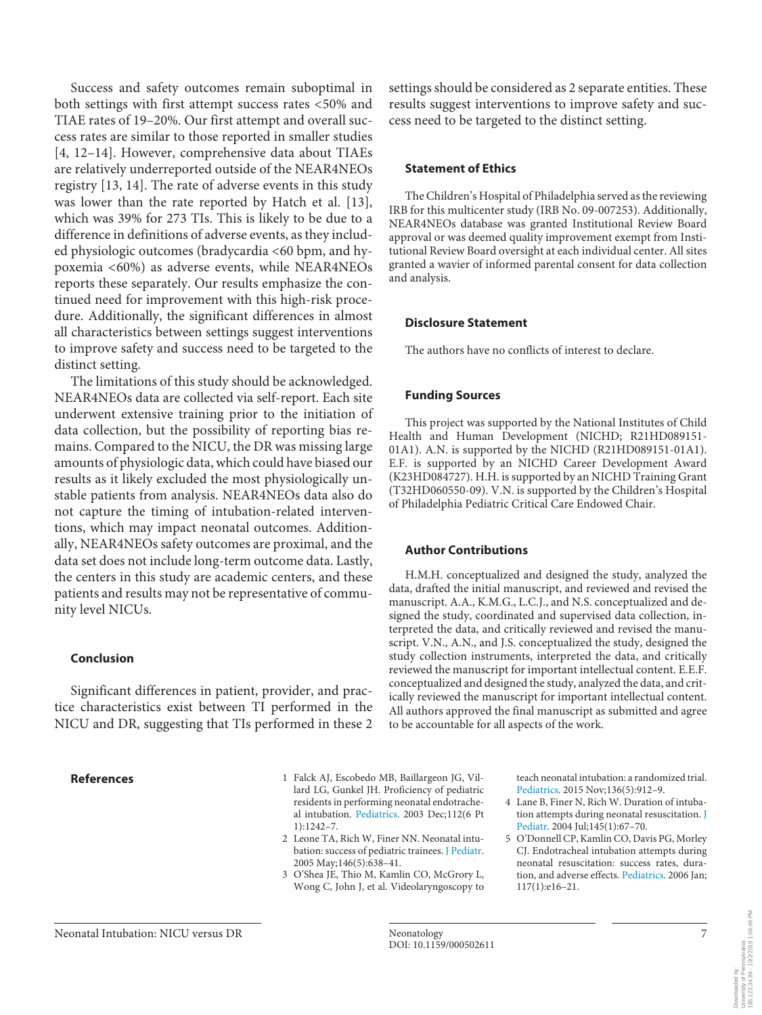Success and safety outcomes remain suboptimal in both settings with first attempt success rates <50% and TIAE rates of 19–20%. Our first attempt and overall success rates are similar to those reported in smaller studies [4, 12–14]. However, comprehensive data about TIAEs are relatively underreported outside of the NEAR4NEOs registry [13, 14]. The rate of adverse events in this study was lower than the rate reported by Hatch et al. [13], which was 39% for 273 TIs. This is likely to be due to a difference in definitions of adverse events, as they included physiologic outcomes (bradycardia <60 bpm, and hypoxemia <60%) as adverse events, while NEAR4NEOs reports these separately. Our results emphasize the continued need for improvement with this high-risk procedure. Additionally, the significant differences in almost all characteristics between settings suggest interventions to improve safety and success need to be targeted to the distinct setting.

The limitations of this study should be acknowledged. NEAR4NEOs data are collected via self-report. Each site underwent extensive training prior to the initiation of data collection, but the possibility of reporting bias remains. Compared to the NICU, the DR was missing large amounts of physiologic data, which could have biased our results as it likely excluded the most physiologically unstable patients from analysis. NEAR4NEOs data also do not capture the timing of intubation-related interventions, which may impact neonatal outcomes. Additionally, NEAR4NEOs safety outcomes are proximal, and the data set does not include long-term outcome data. Lastly, the centers in this study are academic centers, and these patients and results may not be representative of community level NICUs.

#### **Conclusion**

Significant differences in patient, provider, and practice characteristics exist between TI performed in the NICU and DR, suggesting that TIs performed in these 2

settings should be considered as 2 separate entities. These results suggest interventions to improve safety and success need to be targeted to the distinct setting.

#### **Statement of Ethics**

The Children's Hospital of Philadelphia served as the reviewing IRB for this multicenter study (IRB No. 09-007253). Additionally, NEAR4NEOs database was granted Institutional Review Board approval or was deemed quality improvement exempt from Institutional Review Board oversight at each individual center. All sites granted a wavier of informed parental consent for data collection and analysis.

#### **Disclosure Statement**

The authors have no conflicts of interest to declare.

#### **Funding Sources**

This project was supported by the National Institutes of Child Health and Human Development (NICHD; R21HD089151- 01A1). A.N. is supported by the NICHD (R21HD089151-01A1). E.F. is supported by an NICHD Career Development Award (K23HD084727). H.H. is supported by an NICHD Training Grant (T32HD060550-09). V.N. is supported by the Children's Hospital of Philadelphia Pediatric Critical Care Endowed Chair.

#### **Author Contributions**

H.M.H. conceptualized and designed the study, analyzed the data, drafted the initial manuscript, and reviewed and revised the manuscript. A.A., K.M.G., L.C.J., and N.S. conceptualized and designed the study, coordinated and supervised data collection, interpreted the data, and critically reviewed and revised the manuscript. V.N., A.N., and J.S. conceptualized the study, designed the study collection instruments, interpreted the data, and critically reviewed the manuscript for important intellectual content. E.E.F. conceptualized and designed the study, analyzed the data, and critically reviewed the manuscript for important intellectual content. All authors approved the final manuscript as submitted and agree to be accountable for all aspects of the work.

- **References** 1 Falck AJ, Escobedo MB, Baillargeon JG, Villard LG, Gunkel JH. Proficiency of pediatric residents in performing neonatal endotracheal intubation. Pediatrics. 2003 Dec;112(6 Pt 1):1242–7.
	- 2 Leone TA, Rich W, Finer NN. Neonatal intubation: success of pediatric trainees. J Pediatr. 2005 May;146(5):638–41.
	- 3 O'Shea JE, Thio M, Kamlin CO, McGrory L, Wong C, John J, et al. Videolaryngoscopy to

teach neonatal intubation: a randomized trial. Pediatrics. 2015 Nov;136(5):912–9.

- 4 Lane B, Finer N, Rich W. Duration of intubation attempts during neonatal resuscitation. J Pediatr. 2004 Jul;145(1):67–70.
- 5 O'Donnell CP, Kamlin CO, Davis PG, Morley CJ. Endotracheal intubation attempts during neonatal resuscitation: success rates, duration, and adverse effects. Pediatrics. 2006 Jan; 117(1):e16–21.

Downloaded by:<br>University of Pennsylvania<br>165.123.34.86 - 10/2/2019 1:06:46 PM 165.123.34.86 - 10/2/2019 1:06:46 PMUniversity of Pennsylvania Downloaded by: